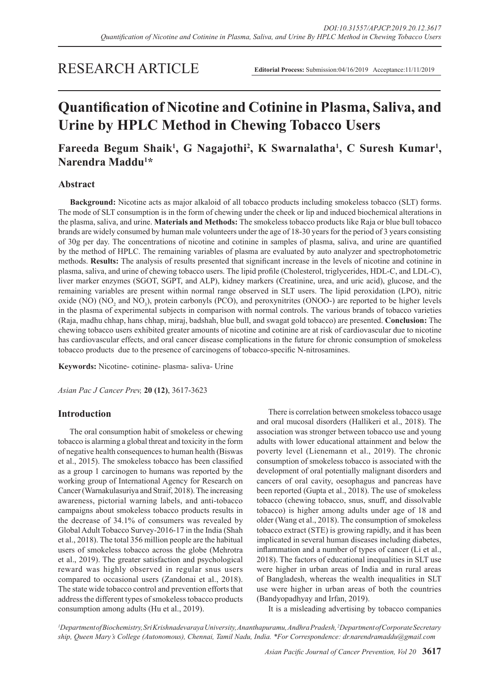# RESEARCH ARTICLE

# **Quantification of Nicotine and Cotinine in Plasma, Saliva, and Urine by HPLC Method in Chewing Tobacco Users**

# Fareeda Begum Shaik<sup>1</sup>, G Nagajothi<sup>2</sup>, K Swarnalatha<sup>1</sup>, C Suresh Kumar<sup>1</sup>, **Narendra Maddu<sup>1</sup> \***

# **Abstract**

**Background:** Nicotine acts as major alkaloid of all tobacco products including smokeless tobacco (SLT) forms. The mode of SLT consumption is in the form of chewing under the cheek or lip and induced biochemical alterations in the plasma, saliva, and urine. **Materials and Methods:** The smokeless tobacco products like Raja or blue bull tobacco brands are widely consumed by human male volunteers under the age of 18-30 years for the period of 3 years consisting of 30g per day. The concentrations of nicotine and cotinine in samples of plasma, saliva, and urine are quantified by the method of HPLC. The remaining variables of plasma are evaluated by auto analyzer and spectrophotometric methods. **Results:** The analysis of results presented that significant increase in the levels of nicotine and cotinine in plasma, saliva, and urine of chewing tobacco users. The lipid profile (Cholesterol, triglycerides, HDL-C, and LDL-C), liver marker enzymes (SGOT, SGPT, and ALP), kidney markers (Creatinine, urea, and uric acid), glucose, and the remaining variables are present within normal range observed in SLT users. The lipid peroxidation (LPO), nitric oxide (NO) ( $NO<sub>2</sub>$  and  $NO<sub>3</sub>$ ), protein carbonyls (PCO), and peroxynitrites (ONOO-) are reported to be higher levels in the plasma of experimental subjects in comparison with normal controls. The various brands of tobacco varieties (Raja, madhu chhap, hans chhap, miraj, badshah, blue bull, and swagat gold tobacco) are presented. **Conclusion:** The chewing tobacco users exhibited greater amounts of nicotine and cotinine are at risk of cardiovascular due to nicotine has cardiovascular effects, and oral cancer disease complications in the future for chronic consumption of smokeless tobacco products due to the presence of carcinogens of tobacco-specific N-nitrosamines.

**Keywords:** Nicotine- cotinine- plasma- saliva- Urine

*Asian Pac J Cancer Prev,* **20 (12)**, 3617-3623

# **Introduction**

The oral consumption habit of smokeless or chewing tobacco is alarming a global threat and toxicity in the form of negative health consequences to human health (Biswas et al., 2015). The smokeless tobacco has been classified as a group 1 carcinogen to humans was reported by the working group of International Agency for Research on Cancer (Warnakulasuriya and Straif, 2018). The increasing awareness, pictorial warning labels, and anti-tobacco campaigns about smokeless tobacco products results in the decrease of 34.1% of consumers was revealed by Global Adult Tobacco Survey-2016-17 in the India (Shah et al., 2018). The total 356 million people are the habitual users of smokeless tobacco across the globe (Mehrotra et al., 2019). The greater satisfaction and psychological reward was highly observed in regular snus users compared to occasional users (Zandonai et al., 2018). The state wide tobacco control and prevention efforts that address the different types of smokeless tobacco products consumption among adults (Hu et al., 2019).

There is correlation between smokeless tobacco usage and oral mucosal disorders (Hallikeri et al., 2018). The association was stronger between tobacco use and young adults with lower educational attainment and below the poverty level (Lienemann et al., 2019). The chronic consumption of smokeless tobacco is associated with the development of oral potentially malignant disorders and cancers of oral cavity, oesophagus and pancreas have been reported (Gupta et al., 2018). The use of smokeless tobacco (chewing tobacco, snus, snuff, and dissolvable tobacco) is higher among adults under age of 18 and older (Wang et al., 2018). The consumption of smokeless tobacco extract (STE) is growing rapidly, and it has been implicated in several human diseases including diabetes, inflammation and a number of types of cancer (Li et al., 2018). The factors of educational inequalities in SLT use were higher in urban areas of India and in rural areas of Bangladesh, whereas the wealth inequalities in SLT use were higher in urban areas of both the countries (Bandyopadhyay and Irfan, 2019).

It is a misleading advertising by tobacco companies

*1 Department of Biochemistry, Sri Krishnadevaraya University, Ananthapuramu, Andhra Pradesh, 2 Department of Corporate Secretary ship, Queen Mary's College (Autonomous), Chennai, Tamil Nadu, India. \*For Correspondence: dr.narendramaddu@gmail.com*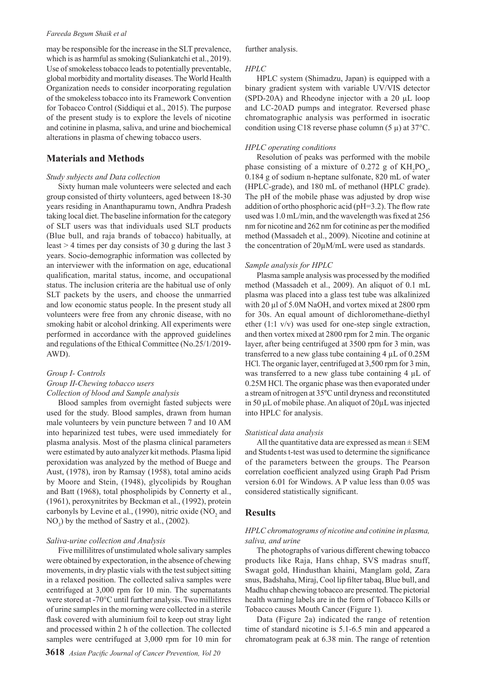#### *Fareeda Begum Shaik et al*

may be responsible for the increase in the SLT prevalence, which is as harmful as smoking (Suliankatchi et al., 2019). Use of smokeless tobacco leads to potentially preventable, global morbidity and mortality diseases. The World Health Organization needs to consider incorporating regulation of the smokeless tobacco into its Framework Convention for Tobacco Control (Siddiqui et al., 2015). The purpose of the present study is to explore the levels of nicotine and cotinine in plasma, saliva, and urine and biochemical alterations in plasma of chewing tobacco users.

# **Materials and Methods**

#### *Study subjects and Data collection*

Sixty human male volunteers were selected and each group consisted of thirty volunteers, aged between 18-30 years residing in Ananthapuramu town, Andhra Pradesh taking local diet. The baseline information for the category of SLT users was that individuals used SLT products (Blue bull, and raja brands of tobacco) habitually, at least > 4 times per day consists of 30 g during the last 3 years. Socio-demographic information was collected by an interviewer with the information on age, educational qualification, marital status, income, and occupational status. The inclusion criteria are the habitual use of only SLT packets by the users, and choose the unmarried and low economic status people. In the present study all volunteers were free from any chronic disease, with no smoking habit or alcohol drinking. All experiments were performed in accordance with the approved guidelines and regulations of the Ethical Committee (No.25/1/2019- AWD).

# *Group I- Controls Group II-Chewing tobacco users Collection of blood and Sample analysis*

Blood samples from overnight fasted subjects were used for the study. Blood samples, drawn from human male volunteers by vein puncture between 7 and 10 AM into heparinized test tubes, were used immediately for plasma analysis. Most of the plasma clinical parameters were estimated by auto analyzer kit methods. Plasma lipid peroxidation was analyzed by the method of Buege and Aust, (1978), iron by Ramsay (1958), total amino acids by Moore and Stein, (1948), glycolipids by Roughan and Batt (1968), total phospholipids by Connerty et al., (1961), peroxynitrites by Beckman et al., (1992), protein carbonyls by Levine et al., (1990), nitric oxide  $NO<sub>2</sub>$  and  $NO<sub>3</sub>$ ) by the method of Sastry et al., (2002).

#### *Saliva-urine collection and Analysis*

Five millilitres of unstimulated whole salivary samples were obtained by expectoration, in the absence of chewing movements, in dry plastic vials with the test subject sitting in a relaxed position. The collected saliva samples were centrifuged at 3,000 rpm for 10 min. The supernatants were stored at -70°C until further analysis. Two millilitres of urine samples in the morning were collected in a sterile flask covered with aluminium foil to keep out stray light and processed within 2 h of the collection. The collected samples were centrifuged at 3,000 rpm for 10 min for

further analysis.

#### *HPLC*

HPLC system (Shimadzu, Japan) is equipped with a binary gradient system with variable UV/VIS detector (SPD-20A) and Rheodyne injector with a 20 µL loop and LC-20AD pumps and integrator. Reversed phase chromatographic analysis was performed in isocratic condition using C18 reverse phase column (5  $\mu$ ) at 37°C.

#### *HPLC operating conditions*

Resolution of peaks was performed with the mobile phase consisting of a mixture of 0.272 g of  $KH_2PO_4$ , 0.184 g of sodium n-heptane sulfonate, 820 mL of water (HPLC-grade), and 180 mL of methanol (HPLC grade). The pH of the mobile phase was adjusted by drop wise addition of ortho phosphoric acid (pH=3.2). The flow rate used was 1.0 mL/min, and the wavelength was fixed at 256 nm for nicotine and 262 nm for cotinine as per the modified method (Massadeh et al., 2009). Nicotine and cotinine at the concentration of 20µM/mL were used as standards.

#### *Sample analysis for HPLC*

Plasma sample analysis was processed by the modified method (Massadeh et al., 2009). An aliquot of 0.1 mL plasma was placed into a glass test tube was alkalinized with 20 µl of 5.0M NaOH, and vortex mixed at 2800 rpm for 30s. An equal amount of dichloromethane-diethyl ether (1:1 v/v) was used for one-step single extraction, and then vortex mixed at 2800 rpm for 2 min. The organic layer, after being centrifuged at 3500 rpm for 3 min, was transferred to a new glass tube containing 4 µL of 0.25M HCl. The organic layer, centrifuged at 3,500 rpm for 3 min, was transferred to a new glass tube containing 4 µL of 0.25M HCl. The organic phase was then evaporated under a stream of nitrogen at 35ºC until dryness and reconstituted in 50 µL of mobile phase. An aliquot of 20µL was injected into HPLC for analysis.

#### *Statistical data analysis*

All the quantitative data are expressed as mean  $\pm$  SEM and Students t-test was used to determine the significance of the parameters between the groups. The Pearson correlation coefficient analyzed using Graph Pad Prism version 6.01 for Windows. A P value less than 0.05 was considered statistically significant.

### **Results**

### *HPLC chromatograms of nicotine and cotinine in plasma, saliva, and urine*

The photographs of various different chewing tobacco products like Raja, Hans chhap, SVS madras snuff, Swagat gold, Hindusthan khaini, Manglam gold, Zara snus, Badshaha, Miraj, Cool lip filter tabaq, Blue bull, and Madhu chhap chewing tobacco are presented. The pictorial health warning labels are in the form of Tobacco Kills or Tobacco causes Mouth Cancer (Figure 1).

Data (Figure 2a) indicated the range of retention time of standard nicotine is 5.1-6.5 min and appeared a chromatogram peak at 6.38 min. The range of retention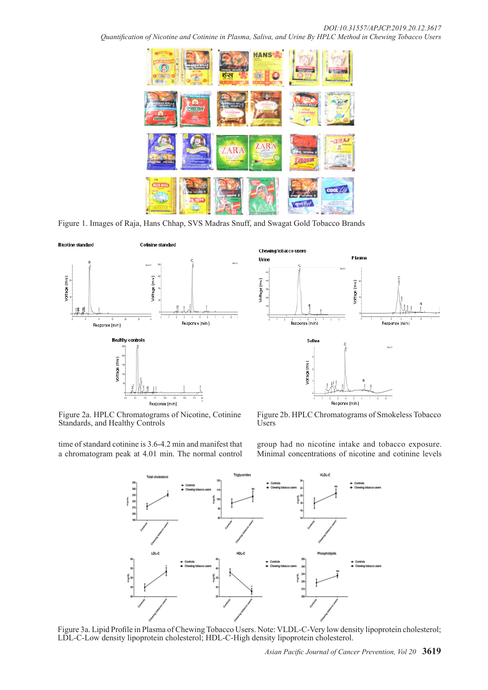*Quantification of Nicotine and Cotinine in Plasma, Saliva, and Urine By HPLC Method in Chewing Tobacco Users* 



Figure 1. Images of Raja, Hans Chhap, SVS Madras Snuff, and Swagat Gold Tobacco Brands



Figure 2a. HPLC Chromatograms of Nicotine, Cotinine Standards, and Healthy Controls

time of standard cotinine is 3.6-4.2 min and manifest that a chromatogram peak at 4.01 min. The normal control



Figure 2b. HPLC Chromatograms of Smokeless Tobacco Users

group had no nicotine intake and tobacco exposure. Minimal concentrations of nicotine and cotinine levels



Figure 3a. Lipid Profile in Plasma of Chewing Tobacco Users. Note: VLDL-C-Very low density lipoprotein cholesterol; LDL-C-Low density lipoprotein cholesterol; HDL-C-High density lipoprotein cholesterol.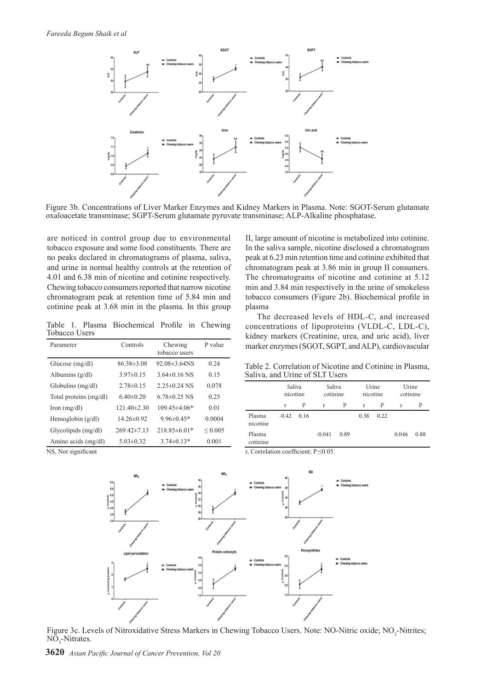

Figure 3b. Concentrations of Liver Marker Enzymes and Kidney Markers in Plasma. Note: SGOT-Serum glutamate oxaloacetate transminase; SGPT-Serum glutamate pyruvate transminase; ALP-Alkaline phosphatase.

are noticed in control group due to environmental tobacco exposure and some food constituents. There are no peaks declared in chromatograms of plasma, saliva, and urine in normal healthy controls at the retention of 4.01 and 6.38 min of nicotine and cotinine respectively. Chewing tobacco consumers reported that narrow nicotine chromatogram peak at retention time of 5.84 min and cotinine peak at 3.68 min in the plasma. In this group

Table 1. Plasma Biochemical Profile in Chewing Tobacco Users

| Parameter              | Controls          | Chewing<br>tobacco users | P value      |  |
|------------------------|-------------------|--------------------------|--------------|--|
| Glucose $(mg/dl)$      | $86.38\pm3.08$    | $92.08\pm3.64$ NS        | 0.24         |  |
| Albumins $(g/dl)$      | $3.97\pm0.15$     | $3.64\pm0.16$ NS         | 0.15         |  |
| Globulins $(mg/dl)$    | $2.78\pm0.15$     | $2.25 \pm 0.24$ NS       | 0.078        |  |
| Total proteins (mg/dl) | 6.40 $\pm$ 0.20   | $6.78\pm0.25$ NS         | 0.25         |  |
| $\text{Iron (mg/dl)}$  | $121.40 \pm 2.30$ | $109.45 \pm 4.06*$       | 0.01         |  |
| Hemoglobin $(g/dl)$    | $14.26 \pm 0.92$  | $9.96\pm0.45*$           | 0.0004       |  |
| Glycolipids (mg/dl)    | $269.42 \pm 7.13$ | $218.85\pm 6.01*$        | ${}_{0.005}$ |  |
| Amino acids (mg/dl)    | $5.03 \pm 0.32$   | $3.74\pm0.13*$           | 0.001        |  |

II, large amount of nicotine is metabolized into cotinine. In the saliva sample, nicotine disclosed a chromatogram peak at 6.23 min retention time and cotinine exhibited that chromatogram peak at 3.86 min in group II consumers. The chromatograms of nicotine and cotinine at 5.12 min and 3.84 min respectively in the urine of smokeless tobacco consumers (Figure 2b). Biochemical profile in plasma

The decreased levels of HDL-C, and increased concentrations of lipoproteins (VLDL-C, LDL-C), kidney markers (Creatinine, urea, and uric acid), liver marker enzymes (SGOT, SGPT, and ALP), cardiovascular

Table 2. Correlation of Nicotine and Cotinine in Plasma, Saliva, and Urine of SLT Users

|                    | Saliva<br>nicotine |      | Saliva<br>cotinine |      | Urine<br>nicotine |      | Urine<br>cotinine |      |
|--------------------|--------------------|------|--------------------|------|-------------------|------|-------------------|------|
|                    | r                  | P    | r                  | Р    | r                 | P    | r                 | P    |
| Plasma<br>nicotine | $-0.42$            | 0.16 |                    |      | 0.38              | 0.22 |                   |      |
| Plasma<br>cotinine |                    |      | $-0.041$           | 0.89 |                   |      | 0.046             | 0.88 |





Figure 3c. Levels of Nitroxidative Stress Markers in Chewing Tobacco Users. Note: NO-Nitric oxide; NO<sub>2</sub>-Nitrites;  $NO<sub>3</sub>$ -Nitrates.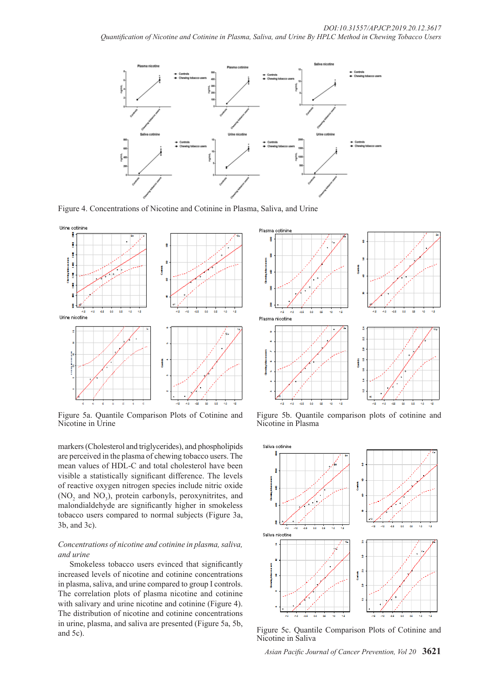

Figure 4. Concentrations of Nicotine and Cotinine in Plasma, Saliva, and Urine



Figure 5a. Quantile Comparison Plots of Cotinine and Nicotine in Urine

markers (Cholesterol and triglycerides), and phospholipids are perceived in the plasma of chewing tobacco users. The mean values of HDL-C and total cholesterol have been visible a statistically significant difference. The levels of reactive oxygen nitrogen species include nitric oxide  $(NO<sub>2</sub>$  and  $NO<sub>3</sub>)$ , protein carbonyls, peroxynitrites, and malondialdehyde are significantly higher in smokeless tobacco users compared to normal subjects (Figure 3a, 3b, and 3c).

### *Concentrations of nicotine and cotinine in plasma, saliva, and urine*

Smokeless tobacco users evinced that significantly increased levels of nicotine and cotinine concentrations in plasma, saliva, and urine compared to group I controls. The correlation plots of plasma nicotine and cotinine with salivary and urine nicotine and cotinine (Figure 4). The distribution of nicotine and cotinine concentrations in urine, plasma, and saliva are presented (Figure 5a, 5b, and 5c).



Figure 5b. Quantile comparison plots of cotinine and Nicotine in Plasma



Figure 5c. Quantile Comparison Plots of Cotinine and Nicotine in Saliva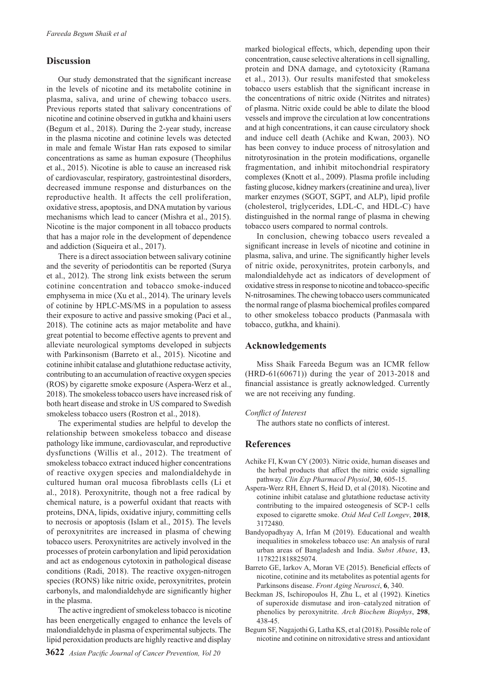# **Discussion**

Our study demonstrated that the significant increase in the levels of nicotine and its metabolite cotinine in plasma, saliva, and urine of chewing tobacco users. Previous reports stated that salivary concentrations of nicotine and cotinine observed in gutkha and khaini users (Begum et al., 2018). During the 2-year study, increase in the plasma nicotine and cotinine levels was detected in male and female Wistar Han rats exposed to similar concentrations as same as human exposure (Theophilus et al., 2015). Nicotine is able to cause an increased risk of cardiovascular, respiratory, gastrointestinal disorders, decreased immune response and disturbances on the reproductive health. It affects the cell proliferation, oxidative stress, apoptosis, and DNA mutation by various mechanisms which lead to cancer (Mishra et al., 2015). Nicotine is the major component in all tobacco products that has a major role in the development of dependence and addiction (Siqueira et al., 2017).

There is a direct association between salivary cotinine and the severity of periodontitis can be reported (Surya et al., 2012). The strong link exists between the serum cotinine concentration and tobacco smoke-induced emphysema in mice (Xu et al., 2014). The urinary levels of cotinine by HPLC-MS/MS in a population to assess their exposure to active and passive smoking (Paci et al., 2018). The cotinine acts as major metabolite and have great potential to become effective agents to prevent and alleviate neurological symptoms developed in subjects with Parkinsonism (Barreto et al., 2015). Nicotine and cotinine inhibit catalase and glutathione reductase activity, contributing to an accumulation of reactive oxygen species (ROS) by cigarette smoke exposure (Aspera-Werz et al., 2018). The smokeless tobacco users have increased risk of both heart disease and stroke in US compared to Swedish smokeless tobacco users (Rostron et al., 2018).

The experimental studies are helpful to develop the relationship between smokeless tobacco and disease pathology like immune, cardiovascular, and reproductive dysfunctions (Willis et al., 2012). The treatment of smokeless tobacco extract induced higher concentrations of reactive oxygen species and malondialdehyde in cultured human oral mucosa fibroblasts cells (Li et al., 2018). Peroxynitrite, though not a free radical by chemical nature, is a powerful oxidant that reacts with proteins, DNA, lipids, oxidative injury, committing cells to necrosis or apoptosis (Islam et al., 2015). The levels of peroxynitrites are increased in plasma of chewing tobacco users. Peroxynitrites are actively involved in the processes of protein carbonylation and lipid peroxidation and act as endogenous cytotoxin in pathological disease conditions (Radi, 2018). The reactive oxygen-nitrogen species (RONS) like nitric oxide, peroxynitrites, protein carbonyls, and malondialdehyde are significantly higher in the plasma.

The active ingredient of smokeless tobacco is nicotine has been energetically engaged to enhance the levels of malondialdehyde in plasma of experimental subjects. The lipid peroxidation products are highly reactive and display

marked biological effects, which, depending upon their concentration, cause selective alterations in cell signalling, protein and DNA damage, and cytotoxicity (Ramana et al., 2013). Our results manifested that smokeless tobacco users establish that the significant increase in the concentrations of nitric oxide (Nitrites and nitrates) of plasma. Nitric oxide could be able to dilate the blood vessels and improve the circulation at low concentrations and at high concentrations, it can cause circulatory shock and induce cell death (Achike and Kwan, 2003). NO has been convey to induce process of nitrosylation and nitrotyrosination in the protein modifications, organelle fragmentation, and inhibit mitochondrial respiratory complexes (Knott et al., 2009). Plasma profile including fasting glucose, kidney markers (creatinine and urea), liver marker enzymes (SGOT, SGPT, and ALP), lipid profile (cholesterol, triglycerides, LDL-C, and HDL-C) have distinguished in the normal range of plasma in chewing tobacco users compared to normal controls.

In conclusion, chewing tobacco users revealed a significant increase in levels of nicotine and cotinine in plasma, saliva, and urine. The significantly higher levels of nitric oxide, peroxynitrites, protein carbonyls, and malondialdehyde act as indicators of development of oxidative stress in response to nicotine and tobacco-specific N-nitrosamines. The chewing tobacco users communicated the normal range of plasma biochemical profiles compared to other smokeless tobacco products (Panmasala with tobacco, gutkha, and khaini).

# **Acknowledgements**

Miss Shaik Fareeda Begum was an ICMR fellow (HRD-61(60671)) during the year of 2013-2018 and financial assistance is greatly acknowledged. Currently we are not receiving any funding.

### *Conflict of Interest*

The authors state no conflicts of interest.

# **References**

- Achike FI, Kwan CY (2003). Nitric oxide, human diseases and the herbal products that affect the nitric oxide signalling pathway. *Clin Exp Pharmacol Physiol*, **30**, 605-15.
- Aspera-Werz RH, Ehnert S, Heid D, et al (2018). Nicotine and cotinine inhibit catalase and glutathione reductase activity contributing to the impaired osteogenesis of SCP-1 cells exposed to cigarette smoke. *Oxid Med Cell Longev*, **2018**, 3172480.
- Bandyopadhyay A, Irfan M (2019). Educational and wealth inequalities in smokeless tobacco use: An analysis of rural urban areas of Bangladesh and India. *Subst Abuse*, **13**, 1178221818825074.
- Barreto GE, Iarkov A, Moran VE (2015). Beneficial effects of nicotine, cotinine and its metabolites as potential agents for Parkinsons disease. *Front Aging Neurosci*, **6**, 340.
- Beckman JS, Ischiropoulos H, Zhu L, et al (1992). Kinetics of superoxide dismutase and iron–catalyzed nitration of phenolics by peroxynitrite. *Arch Biochem Biophys*, **298**, 438-45.
- Begum SF, Nagajothi G, Latha KS, et al (2018). Possible role of nicotine and cotinine on nitroxidative stress and antioxidant